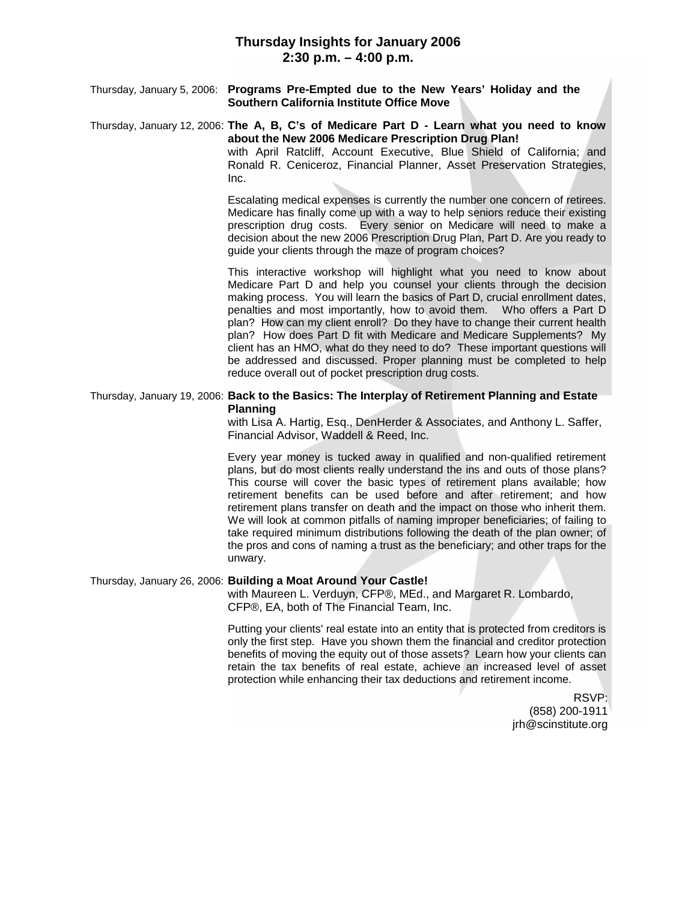Thursday, January 5, 2006: **Programs Pre-Empted due to the New Years' Holiday and the Southern California Institute Office Move**

# Thursday, January 12, 2006: **The A, B, C's of Medicare Part D - Learn what you need to know about the New 2006 Medicare Prescription Drug Plan!**

with April Ratcliff, Account Executive, Blue Shield of California; and Ronald R. Ceniceroz, Financial Planner, Asset Preservation Strategies, Inc.

Escalating medical expenses is currently the number one concern of retirees. Medicare has finally come up with a way to help seniors reduce their existing prescription drug costs. Every senior on Medicare will need to make a decision about the new 2006 Prescription Drug Plan, Part D. Are you ready to guide your clients through the maze of program choices?

This interactive workshop will highlight what you need to know about Medicare Part D and help you counsel your clients through the decision making process. You will learn the basics of Part D, crucial enrollment dates, penalties and most importantly, how to avoid them. Who offers a Part D plan? How can my client enroll? Do they have to change their current health plan? How does Part D fit with Medicare and Medicare Supplements? My client has an HMO, what do they need to do? These important questions will be addressed and discussed. Proper planning must be completed to help reduce overall out of pocket prescription drug costs.

#### Thursday, January 19, 2006: **Back to the Basics: The Interplay of Retirement Planning and Estate Planning**

with Lisa A. Hartig, Esq., DenHerder & Associates, and Anthony L. Saffer, Financial Advisor, Waddell & Reed, Inc.

Every year money is tucked away in qualified and non-qualified retirement plans, but do most clients really understand the ins and outs of those plans? This course will cover the basic types of retirement plans available; how retirement benefits can be used before and after retirement; and how retirement plans transfer on death and the impact on those who inherit them. We will look at common pitfalls of naming improper beneficiaries; of failing to take required minimum distributions following the death of the plan owner; of the pros and cons of naming a trust as the beneficiary; and other traps for the unwary.

#### Thursday, January 26, 2006: **Building a Moat Around Your Castle!**

with Maureen L. Verduyn, CFP®, MEd., and Margaret R. Lombardo, CFP®, EA, both of The Financial Team, Inc.

Putting your clients' real estate into an entity that is protected from creditors is only the first step. Have you shown them the financial and creditor protection benefits of moving the equity out of those assets? Learn how your clients can retain the tax benefits of real estate, achieve an increased level of asset protection while enhancing their tax deductions and retirement income.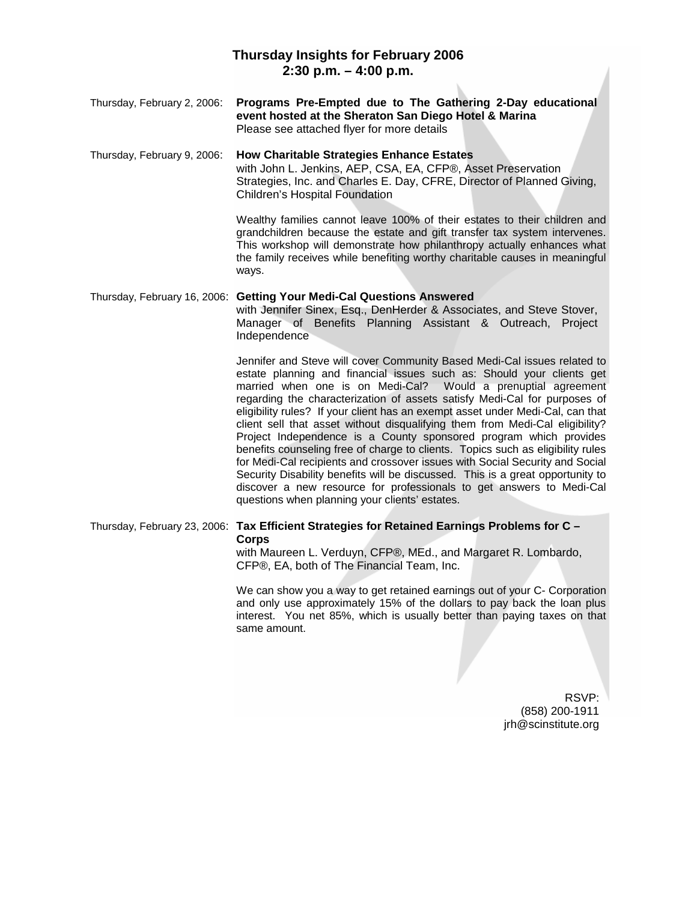#### **Thursday Insights for February 2006 2:30 p.m. – 4:00 p.m.**  $\bar{b}$

| Thursday, February 2, 2006: | Programs Pre-Empted due to The Gathering 2-Day educational<br>event hosted at the Sheraton San Diego Hotel & Marina<br>Please see attached flyer for more details                                                                                                                                                                                                                                                                                                                                                                                                                                                                                                                                                                                                                                                                                                                                                     |
|-----------------------------|-----------------------------------------------------------------------------------------------------------------------------------------------------------------------------------------------------------------------------------------------------------------------------------------------------------------------------------------------------------------------------------------------------------------------------------------------------------------------------------------------------------------------------------------------------------------------------------------------------------------------------------------------------------------------------------------------------------------------------------------------------------------------------------------------------------------------------------------------------------------------------------------------------------------------|
| Thursday, February 9, 2006: | <b>How Charitable Strategies Enhance Estates</b><br>with John L. Jenkins, AEP, CSA, EA, CFP®, Asset Preservation<br>Strategies, Inc. and Charles E. Day, CFRE, Director of Planned Giving,<br>Children's Hospital Foundation                                                                                                                                                                                                                                                                                                                                                                                                                                                                                                                                                                                                                                                                                          |
|                             | Wealthy families cannot leave 100% of their estates to their children and<br>grandchildren because the estate and gift transfer tax system intervenes.<br>This workshop will demonstrate how philanthropy actually enhances what<br>the family receives while benefiting worthy charitable causes in meaningful<br>ways.                                                                                                                                                                                                                                                                                                                                                                                                                                                                                                                                                                                              |
|                             | Thursday, February 16, 2006: Getting Your Medi-Cal Questions Answered<br>with Jennifer Sinex, Esq., DenHerder & Associates, and Steve Stover,<br>Manager of Benefits Planning Assistant & Outreach, Project<br>Independence                                                                                                                                                                                                                                                                                                                                                                                                                                                                                                                                                                                                                                                                                           |
|                             | Jennifer and Steve will cover Community Based Medi-Cal issues related to<br>estate planning and financial issues such as: Should your clients get<br>married when one is on Medi-Cal? Would a prenuptial agreement<br>regarding the characterization of assets satisfy Medi-Cal for purposes of<br>eligibility rules? If your client has an exempt asset under Medi-Cal, can that<br>client sell that asset without disqualifying them from Medi-Cal eligibility?<br>Project Independence is a County sponsored program which provides<br>benefits counseling free of charge to clients. Topics such as eligibility rules<br>for Medi-Cal recipients and crossover issues with Social Security and Social<br>Security Disability benefits will be discussed. This is a great opportunity to<br>discover a new resource for professionals to get answers to Medi-Cal<br>questions when planning your clients' estates. |
|                             | Thursday, February 23, 2006: Tax Efficient Strategies for Retained Earnings Problems for C -<br><b>Corps</b><br>with Maureen L. Verduyn, CFP®, MEd., and Margaret R. Lombardo,<br>CFP®, EA, both of The Financial Team, Inc.                                                                                                                                                                                                                                                                                                                                                                                                                                                                                                                                                                                                                                                                                          |
|                             | We can show you a way to get retained earnings out of your C- Corporation<br>and only use approximately 15% of the dollars to pay back the loan plus<br>interest. You net 85%, which is usually better than paying taxes on that<br>same amount.                                                                                                                                                                                                                                                                                                                                                                                                                                                                                                                                                                                                                                                                      |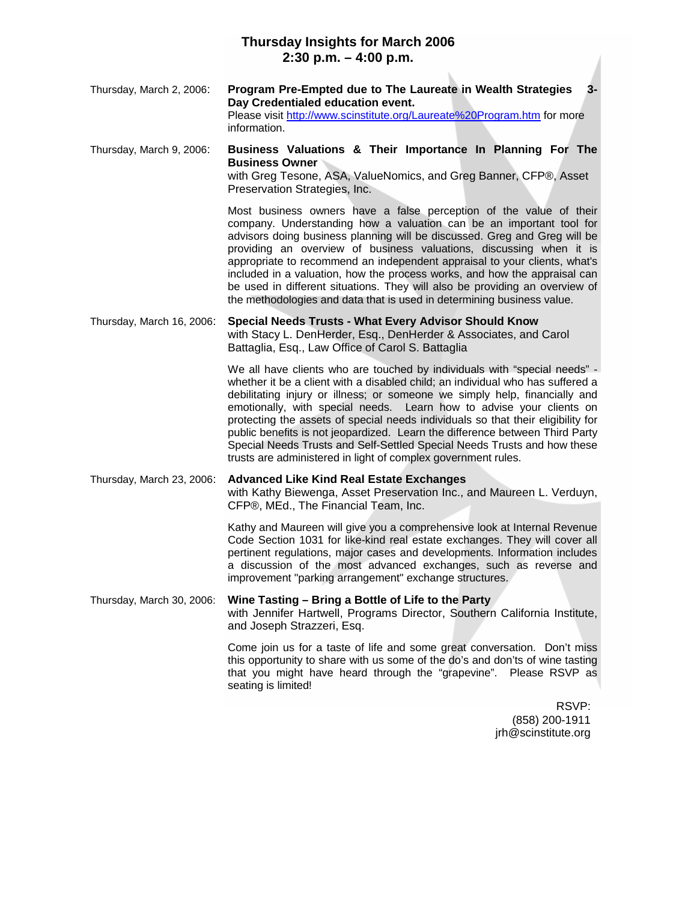### **Thursday Insights for March 2006 2:30 p.m. – 4:00 p.m.**

| Thursday, March 2, 2006: | Program Pre-Empted due to The Laureate in Wealth Strategies<br>$3-$     |
|--------------------------|-------------------------------------------------------------------------|
|                          | Day Credentialed education event.                                       |
|                          | Please visit http://www.scinstitute.org/Laureate%20Program.htm for more |
|                          | information.                                                            |

Thursday, March 9, 2006: **Business Valuations & Their Importance In Planning For The Business Owner**

with Greg Tesone, ASA, ValueNomics, and Greg Banner, CFP®, Asset Preservation Strategies, Inc.

Most business owners have a false perception of the value of their company. Understanding how a valuation can be an important tool for advisors doing business planning will be discussed. Greg and Greg will be providing an overview of business valuations, discussing when it is appropriate to recommend an independent appraisal to your clients, what's included in a valuation, how the process works, and how the appraisal can be used in different situations. They will also be providing an overview of the methodologies and data that is used in determining business value.

Thursday, March 16, 2006: **Special Needs Trusts - What Every Advisor Should Know** with Stacy L. DenHerder, Esq., DenHerder & Associates, and Carol Battaglia, Esq., Law Office of Carol S. Battaglia

> We all have clients who are touched by individuals with "special needs" whether it be a client with a disabled child; an individual who has suffered a debilitating injury or illness; or someone we simply help, financially and emotionally, with special needs. Learn how to advise your clients on protecting the assets of special needs individuals so that their eligibility for public benefits is not jeopardized. Learn the difference between Third Party Special Needs Trusts and Self-Settled Special Needs Trusts and how these trusts are administered in light of complex government rules.

Thursday, March 23, 2006: **Advanced Like Kind Real Estate Exchanges** with Kathy Biewenga, Asset Preservation Inc., and Maureen L. Verduyn, CFP®, MEd., The Financial Team, Inc.

> Kathy and Maureen will give you a comprehensive look at Internal Revenue Code Section 1031 for like-kind real estate exchanges. They will cover all pertinent regulations, major cases and developments. Information includes a discussion of the most advanced exchanges, such as reverse and improvement "parking arrangement" exchange structures.

Thursday, March 30, 2006: **Wine Tasting – Bring a Bottle of Life to the Party** with Jennifer Hartwell, Programs Director, Southern California Institute, and Joseph Strazzeri, Esq.

> Come join us for a taste of life and some great conversation. Don't miss this opportunity to share with us some of the do's and don'ts of wine tasting that you might have heard through the "grapevine". Please RSVP as seating is limited!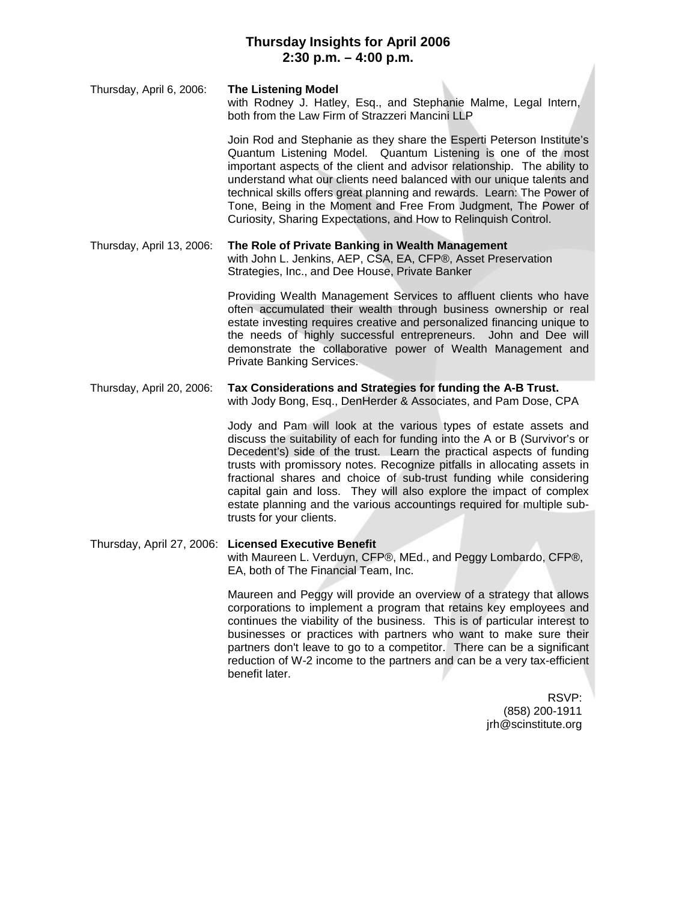# **Thursday Insights for April 2006 2:30 p.m. – 4:00 p.m.**

Thursday, April 6, 2006: **The Listening Model** with Rodney J. Hatley, Esq., and Stephanie Malme, Legal Intern, both from the Law Firm of Strazzeri Mancini LLP

> Join Rod and Stephanie as they share the Esperti Peterson Institute's Quantum Listening Model. Quantum Listening is one of the most important aspects of the client and advisor relationship. The ability to understand what our clients need balanced with our unique talents and technical skills offers great planning and rewards. Learn: The Power of Tone, Being in the Moment and Free From Judgment, The Power of Curiosity, Sharing Expectations, and How to Relinquish Control.

#### Thursday, April 13, 2006: **The Role of Private Banking in Wealth Management** with John L. Jenkins, AEP, CSA, EA, CFP®, Asset Preservation

Strategies, Inc., and Dee House, Private Banker

Providing Wealth Management Services to affluent clients who have often accumulated their wealth through business ownership or real estate investing requires creative and personalized financing unique to the needs of highly successful entrepreneurs. John and Dee will demonstrate the collaborative power of Wealth Management and Private Banking Services.

### Thursday, April 20, 2006: **Tax Considerations and Strategies for funding the A-B Trust.** with Jody Bong, Esq., DenHerder & Associates, and Pam Dose, CPA

Jody and Pam will look at the various types of estate assets and discuss the suitability of each for funding into the A or B (Survivor's or Decedent's) side of the trust. Learn the practical aspects of funding trusts with promissory notes. Recognize pitfalls in allocating assets in fractional shares and choice of sub-trust funding while considering capital gain and loss. They will also explore the impact of complex estate planning and the various accountings required for multiple subtrusts for your clients.

#### Thursday, April 27, 2006: **Licensed Executive Benefit** with Maureen L. Verduyn, CFP®, MEd., and Peggy Lombardo, CFP®, EA, both of The Financial Team, Inc.

Maureen and Peggy will provide an overview of a strategy that allows corporations to implement a program that retains key employees and continues the viability of the business. This is of particular interest to businesses or practices with partners who want to make sure their partners don't leave to go to a competitor. There can be a significant reduction of W-2 income to the partners and can be a very tax-efficient benefit later.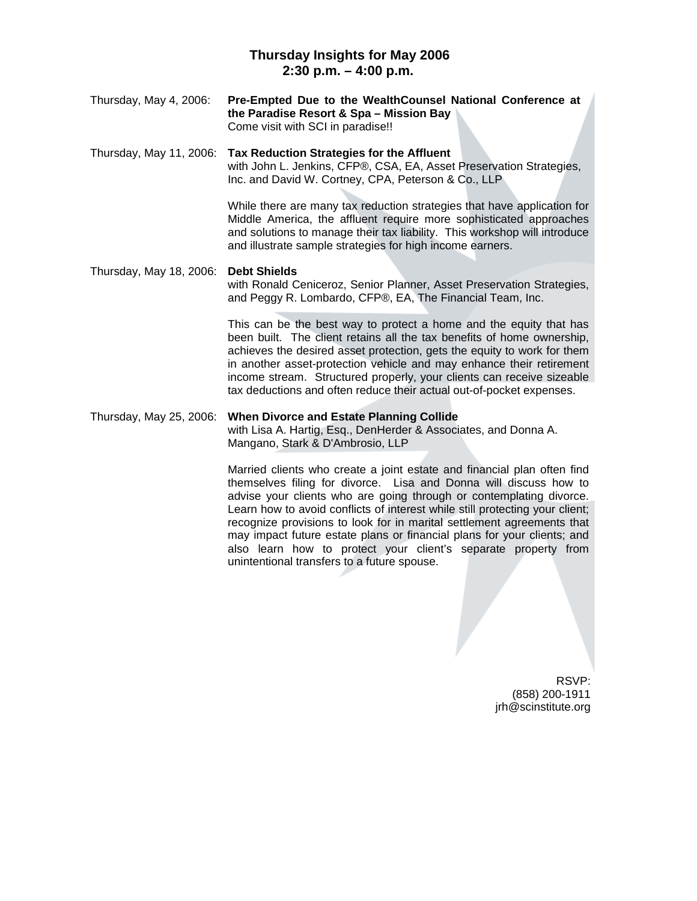# **Thursday Insights for May 2006 2:30 p.m. – 4:00 p.m.**

Thursday, May 4, 2006: **Pre-Empted Due to the WealthCounsel National Conference at the Paradise Resort & Spa – Mission Bay** Come visit with SCI in paradise!!

Thursday, May 11, 2006: **Tax Reduction Strategies for the Affluent** with John L. Jenkins, CFP®, CSA, EA, Asset Preservation Strategies, Inc. and David W. Cortney, CPA, Peterson & Co., LLP

> While there are many tax reduction strategies that have application for Middle America, the affluent require more sophisticated approaches and solutions to manage their tax liability. This workshop will introduce and illustrate sample strategies for high income earners.

#### Thursday, May 18, 2006: **Debt Shields** with Ronald Ceniceroz, Senior Planner, Asset Preservation Strategies, and Peggy R. Lombardo, CFP®, EA, The Financial Team, Inc.

This can be the best way to protect a home and the equity that has been built. The client retains all the tax benefits of home ownership, achieves the desired asset protection, gets the equity to work for them in another asset-protection vehicle and may enhance their retirement income stream. Structured properly, your clients can receive sizeable tax deductions and often reduce their actual out-of-pocket expenses.

### Thursday, May 25, 2006: **When Divorce and Estate Planning Collide** with Lisa A. Hartig, Esq., DenHerder & Associates, and Donna A. Mangano, Stark & D'Ambrosio, LLP

Married clients who create a joint estate and financial plan often find themselves filing for divorce. Lisa and Donna will discuss how to advise your clients who are going through or contemplating divorce. Learn how to avoid conflicts of interest while still protecting your client; recognize provisions to look for in marital settlement agreements that may impact future estate plans or financial plans for your clients; and also learn how to protect your client's separate property from unintentional transfers to a future spouse.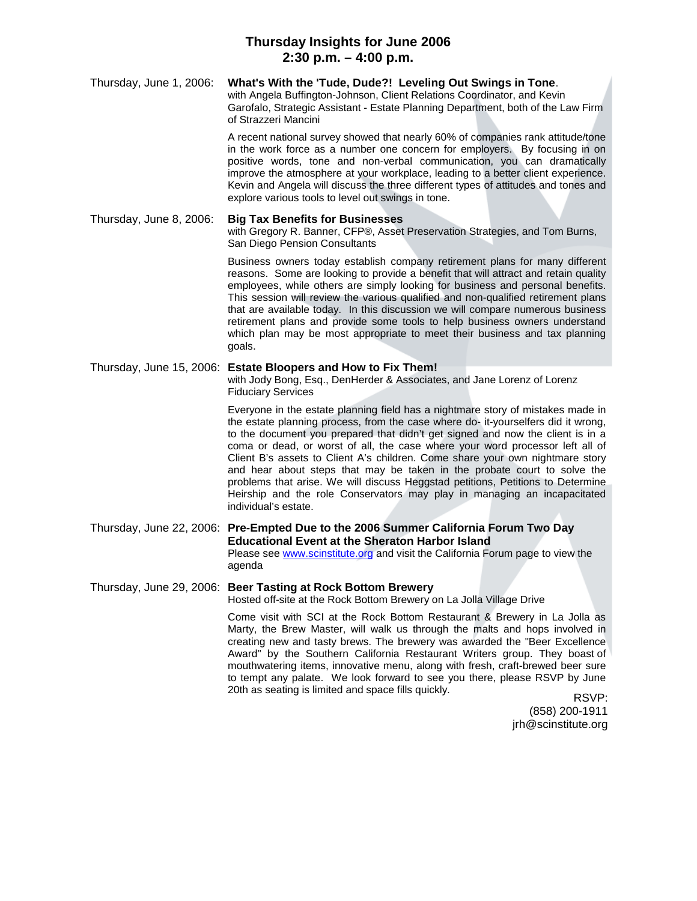# **Thursday Insights for June 2006 2:30 p.m. – 4:00 p.m.**

#### Thursday, June 1, 2006: **What's With the 'Tude, Dude?! Leveling Out Swings in Tone**. with Angela Buffington-Johnson, Client Relations Coordinator, and Kevin Garofalo, Strategic Assistant - Estate Planning Department, both of the Law Firm of Strazzeri Mancini

A recent national survey showed that nearly 60% of companies rank attitude/tone in the work force as a number one concern for employers. By focusing in on positive words, tone and non-verbal communication, you can dramatically improve the atmosphere at your workplace, leading to a better client experience. Kevin and Angela will discuss the three different types of attitudes and tones and explore various tools to level out swings in tone.

Thursday, June 8, 2006: **Big Tax Benefits for Businesses** with Gregory R. Banner, CFP®, Asset Preservation Strategies, and Tom Burns, San Diego Pension Consultants

> Business owners today establish company retirement plans for many different reasons. Some are looking to provide a benefit that will attract and retain quality employees, while others are simply looking for business and personal benefits. This session will review the various qualified and non-qualified retirement plans that are available today. In this discussion we will compare numerous business retirement plans and provide some tools to help business owners understand which plan may be most appropriate to meet their business and tax planning goals.

# Thursday, June 15, 2006: **Estate Bloopers and How to Fix Them!**

with Jody Bong, Esq., DenHerder & Associates, and Jane Lorenz of Lorenz Fiduciary Services

Everyone in the estate planning field has a nightmare story of mistakes made in the estate planning process, from the case where do- it-yourselfers did it wrong, to the document you prepared that didn't get signed and now the client is in a coma or dead, or worst of all, the case where your word processor left all of Client B's assets to Client A's children. Come share your own nightmare story and hear about steps that may be taken in the probate court to solve the problems that arise. We will discuss Heggstad petitions, Petitions to Determine Heirship and the role Conservators may play in managing an incapacitated individual's estate.

Thursday, June 22, 2006: **Pre-Empted Due to the 2006 Summer California Forum Two Day Educational Event at the Sheraton Harbor Island** Please see www.scinstitute.org and visit the California Forum page to view the agenda

Thursday, June 29, 2006: **Beer Tasting at Rock Bottom Brewery** Hosted off-site at the Rock Bottom Brewery on La Jolla Village Drive

> Come visit with SCI at the Rock Bottom Restaurant & Brewery in La Jolla as Marty, the Brew Master, will walk us through the malts and hops involved in creating new and tasty brews. The brewery was awarded the "Beer Excellence Award" by the Southern California Restaurant Writers group. They boast of mouthwatering items, innovative menu, along with fresh, craft-brewed beer sure to tempt any palate. We look forward to see you there, please RSVP by June 20th as seating is limited and space fills quickly.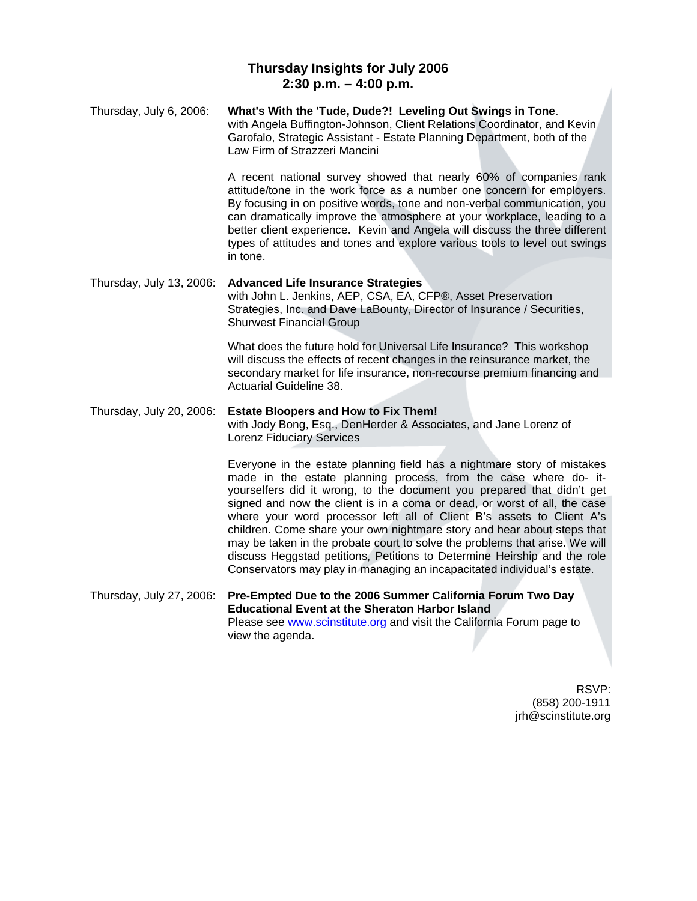# **Thursday Insights for July 2006 2:30 p.m. – 4:00 p.m.**

Thursday, July 6, 2006: **What's With the 'Tude, Dude?! Leveling Out Swings in Tone**. with Angela Buffington-Johnson, Client Relations Coordinator, and Kevin Garofalo, Strategic Assistant - Estate Planning Department, both of the Law Firm of Strazzeri Mancini A recent national survey showed that nearly 60% of companies rank attitude/tone in the work force as a number one concern for employers. By focusing in on positive words, tone and non-verbal communication, you can dramatically improve the atmosphere at your workplace, leading to a better client experience. Kevin and Angela will discuss the three different types of attitudes and tones and explore various tools to level out swings in tone. Thursday, July 13, 2006: **Advanced Life Insurance Strategies** with John L. Jenkins, AEP, CSA, EA, CFP®, Asset Preservation Strategies, Inc. and Dave LaBounty, Director of Insurance / Securities, Shurwest Financial Group What does the future hold for Universal Life Insurance? This workshop will discuss the effects of recent changes in the reinsurance market, the secondary market for life insurance, non-recourse premium financing and Actuarial Guideline 38.

Thursday, July 20, 2006: **Estate Bloopers and How to Fix Them!** with Jody Bong, Esq., DenHerder & Associates, and Jane Lorenz of Lorenz Fiduciary Services

> Everyone in the estate planning field has a nightmare story of mistakes made in the estate planning process, from the case where do- ityourselfers did it wrong, to the document you prepared that didn't get signed and now the client is in a coma or dead, or worst of all, the case where your word processor left all of Client B's assets to Client A's children. Come share your own nightmare story and hear about steps that may be taken in the probate court to solve the problems that arise. We will discuss Heggstad petitions, Petitions to Determine Heirship and the role Conservators may play in managing an incapacitated individual's estate.

Thursday, July 27, 2006: **Pre-Empted Due to the 2006 Summer California Forum Two Day Educational Event at the Sheraton Harbor Island** Please see www.scinstitute.org and visit the California Forum page to view the agenda.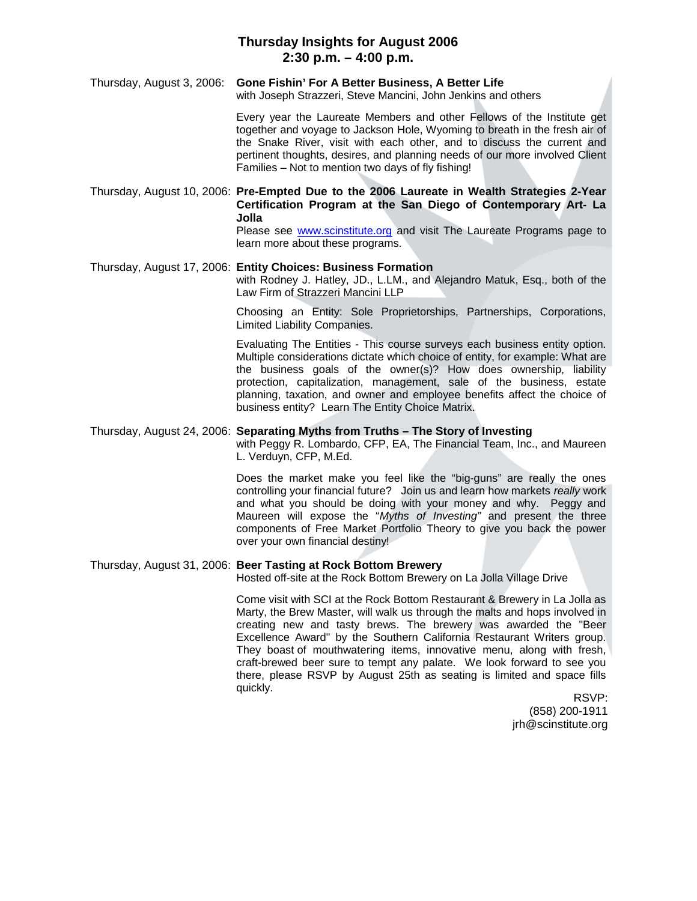# **Thursday Insights for August 2006 2:30 p.m. – 4:00 p.m.**

Thursday, August 3, 2006: **Gone Fishin' For A Better Business, A Better Life** with Joseph Strazzeri, Steve Mancini, John Jenkins and others

> Every year the Laureate Members and other Fellows of the Institute get together and voyage to Jackson Hole, Wyoming to breath in the fresh air of the Snake River, visit with each other, and to discuss the current and pertinent thoughts, desires, and planning needs of our more involved Client Families – Not to mention two days of fly fishing!

Thursday, August 10, 2006: **Pre-Empted Due to the 2006 Laureate in Wealth Strategies 2-Year Certification Program at the San Diego of Contemporary Art- La Jolla** Please see www.scinstitute.org and visit The Laureate Programs page to

learn more about these programs.

### Thursday, August 17, 2006: **Entity Choices: Business Formation**

with Rodney J. Hatley, JD., L.LM., and Alejandro Matuk, Esq., both of the Law Firm of Strazzeri Mancini LLP

Choosing an Entity: Sole Proprietorships, Partnerships, Corporations, Limited Liability Companies.

Evaluating The Entities - This course surveys each business entity option. Multiple considerations dictate which choice of entity, for example: What are the business goals of the owner(s)? How does ownership, liability protection, capitalization, management, sale of the business, estate planning, taxation, and owner and employee benefits affect the choice of business entity? Learn The Entity Choice Matrix.

#### Thursday, August 24, 2006: **Separating Myths from Truths – The Story of Investing**

with Peggy R. Lombardo, CFP, EA, The Financial Team, Inc., and Maureen L. Verduyn, CFP, M.Ed.

Does the market make you feel like the "big-guns" are really the ones controlling your financial future? Join us and learn how markets *really* work and what you should be doing with your money and why. Peggy and Maureen will expose the "*Myths of Investing"* and present the three components of Free Market Portfolio Theory to give you back the power over your own financial destiny!

#### Thursday, August 31, 2006: **Beer Tasting at Rock Bottom Brewery**

Hosted off-site at the Rock Bottom Brewery on La Jolla Village Drive

Come visit with SCI at the Rock Bottom Restaurant & Brewery in La Jolla as Marty, the Brew Master, will walk us through the malts and hops involved in creating new and tasty brews. The brewery was awarded the "Beer Excellence Award" by the Southern California Restaurant Writers group. They boast of mouthwatering items, innovative menu, along with fresh, craft-brewed beer sure to tempt any palate. We look forward to see you there, please RSVP by August 25th as seating is limited and space fills quickly.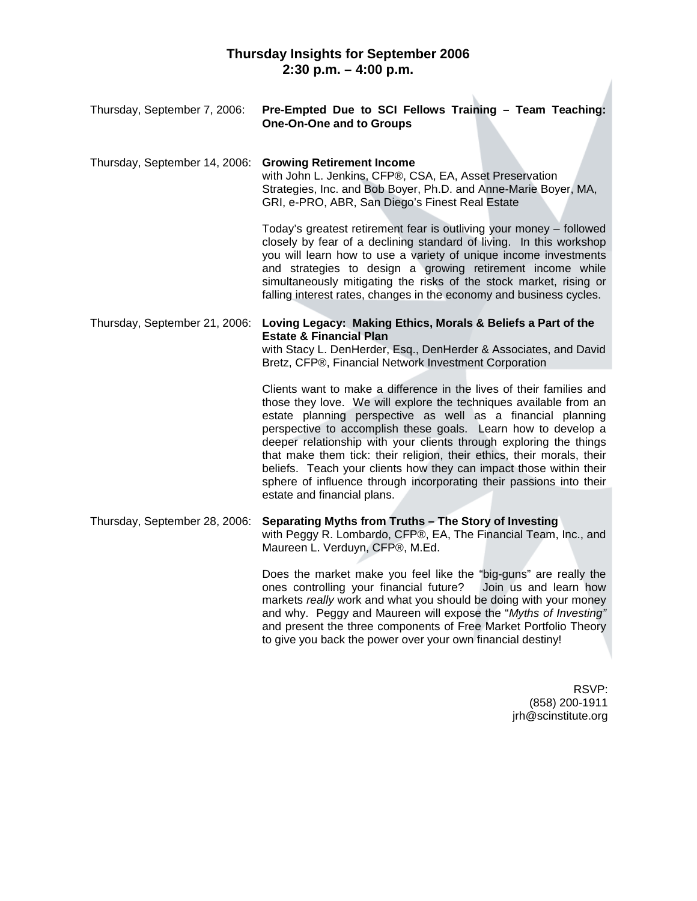| Thursday, September 7, 2006:  | Pre-Empted Due to SCI Fellows Training - Team Teaching:<br><b>One-On-One and to Groups</b>                                                                                                                                                                                                                                                                                                                                                                                                                                                                                                            |
|-------------------------------|-------------------------------------------------------------------------------------------------------------------------------------------------------------------------------------------------------------------------------------------------------------------------------------------------------------------------------------------------------------------------------------------------------------------------------------------------------------------------------------------------------------------------------------------------------------------------------------------------------|
| Thursday, September 14, 2006: | <b>Growing Retirement Income</b><br>with John L. Jenkins, CFP®, CSA, EA, Asset Preservation<br>Strategies, Inc. and Bob Boyer, Ph.D. and Anne-Marie Boyer, MA,<br>GRI, e-PRO, ABR, San Diego's Finest Real Estate                                                                                                                                                                                                                                                                                                                                                                                     |
|                               | Today's greatest retirement fear is outliving your money - followed<br>closely by fear of a declining standard of living. In this workshop<br>you will learn how to use a variety of unique income investments<br>and strategies to design a growing retirement income while<br>simultaneously mitigating the risks of the stock market, rising or<br>falling interest rates, changes in the economy and business cycles.                                                                                                                                                                             |
| Thursday, September 21, 2006: | Loving Legacy: Making Ethics, Morals & Beliefs a Part of the<br><b>Estate &amp; Financial Plan</b><br>with Stacy L. DenHerder, Esq., DenHerder & Associates, and David<br>Bretz, CFP®, Financial Network Investment Corporation                                                                                                                                                                                                                                                                                                                                                                       |
|                               | Clients want to make a difference in the lives of their families and<br>those they love. We will explore the techniques available from an<br>estate planning perspective as well as a financial planning<br>perspective to accomplish these goals. Learn how to develop a<br>deeper relationship with your clients through exploring the things<br>that make them tick: their religion, their ethics, their morals, their<br>beliefs. Teach your clients how they can impact those within their<br>sphere of influence through incorporating their passions into their<br>estate and financial plans. |
| Thursday, September 28, 2006: | Separating Myths from Truths - The Story of Investing<br>with Peggy R. Lombardo, CFP®, EA, The Financial Team, Inc., and<br>Maureen L. Verduyn, CFP®, M.Ed.                                                                                                                                                                                                                                                                                                                                                                                                                                           |
|                               | Does the market make you feel like the "big-guns" are really the<br>ones controlling your financial future?<br>Join us and learn how<br>markets really work and what you should be doing with your money<br>and why. Peggy and Maureen will expose the "Myths of Investing"                                                                                                                                                                                                                                                                                                                           |

and present the three components of Free Market Portfolio Theory

to give you back the power over your own financial destiny!

RSVP: (858) 200-1911 jrh@scinstitute.org

7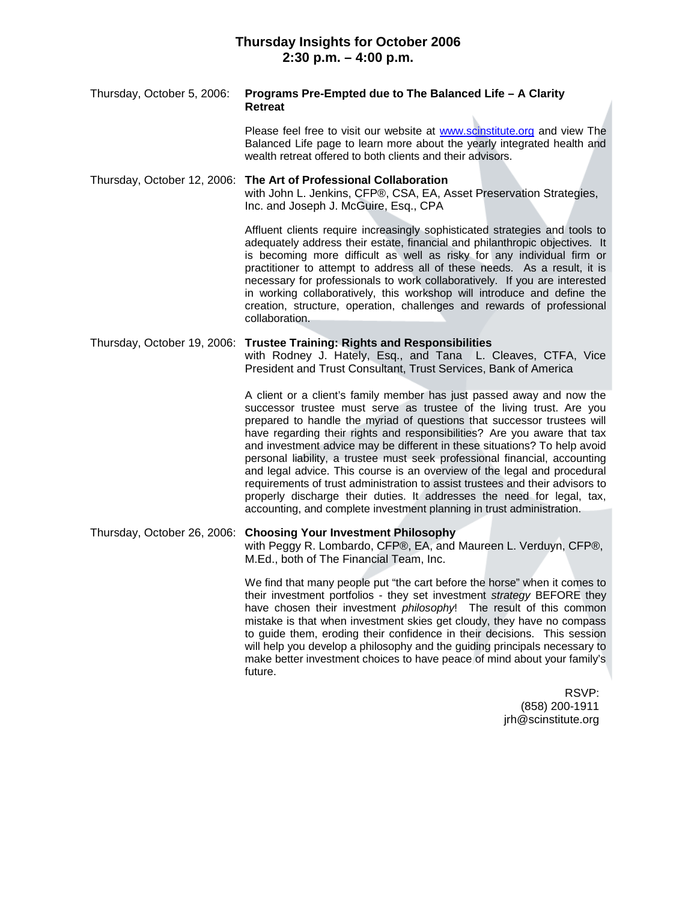# **Thursday Insights for October 2006 2:30 p.m. – 4:00 p.m.**

| Thursday, October 5, 2006:  | Programs Pre-Empted due to The Balanced Life - A Clarity<br><b>Retreat</b>                                                                                                                                                                                                                                                                                                                                                                                                                                                                                                                                                                                                                                                                                                      |
|-----------------------------|---------------------------------------------------------------------------------------------------------------------------------------------------------------------------------------------------------------------------------------------------------------------------------------------------------------------------------------------------------------------------------------------------------------------------------------------------------------------------------------------------------------------------------------------------------------------------------------------------------------------------------------------------------------------------------------------------------------------------------------------------------------------------------|
|                             | Please feel free to visit our website at <b>www.scinstitute.org</b> and view The<br>Balanced Life page to learn more about the yearly integrated health and<br>wealth retreat offered to both clients and their advisors.                                                                                                                                                                                                                                                                                                                                                                                                                                                                                                                                                       |
|                             | Thursday, October 12, 2006: The Art of Professional Collaboration<br>with John L. Jenkins, CFP®, CSA, EA, Asset Preservation Strategies,<br>Inc. and Joseph J. McGuire, Esq., CPA                                                                                                                                                                                                                                                                                                                                                                                                                                                                                                                                                                                               |
|                             | Affluent clients require increasingly sophisticated strategies and tools to<br>adequately address their estate, financial and philanthropic objectives. It<br>is becoming more difficult as well as risky for any individual firm or<br>practitioner to attempt to address all of these needs. As a result, it is<br>necessary for professionals to work collaboratively. If you are interested<br>in working collaboratively, this workshop will introduce and define the<br>creation, structure, operation, challenges and rewards of professional<br>collaboration.                                                                                                                                                                                                          |
| Thursday, October 19, 2006: | <b>Trustee Training: Rights and Responsibilities</b><br>with Rodney J. Hately, Esq., and Tana L. Cleaves, CTFA, Vice<br>President and Trust Consultant, Trust Services, Bank of America                                                                                                                                                                                                                                                                                                                                                                                                                                                                                                                                                                                         |
|                             | A client or a client's family member has just passed away and now the<br>successor trustee must serve as trustee of the living trust. Are you<br>prepared to handle the myriad of questions that successor trustees will<br>have regarding their rights and responsibilities? Are you aware that tax<br>and investment advice may be different in these situations? To help avoid<br>personal liability, a trustee must seek professional financial, accounting<br>and legal advice. This course is an overview of the legal and procedural<br>requirements of trust administration to assist trustees and their advisors to<br>properly discharge their duties. It addresses the need for legal, tax,<br>accounting, and complete investment planning in trust administration. |
| Thursday, October 26, 2006: | <b>Choosing Your Investment Philosophy</b><br>with Peggy R. Lombardo, CFP®, EA, and Maureen L. Verduyn, CFP®,<br>M.Ed., both of The Financial Team, Inc.                                                                                                                                                                                                                                                                                                                                                                                                                                                                                                                                                                                                                        |
|                             | We find that many people put "the cart before the horse" when it comes to<br>their investment portfolios - they set investment <i>strategy</i> BEFORE they<br>have chosen their investment philosophy! The result of this common<br>mistake is that when investment skies get cloudy, they have no compass<br>to guide them, eroding their confidence in their decisions. This session<br>will help you develop a philosophy and the guiding principals necessary to<br>make better investment choices to have peace of mind about your family's<br>future.                                                                                                                                                                                                                     |